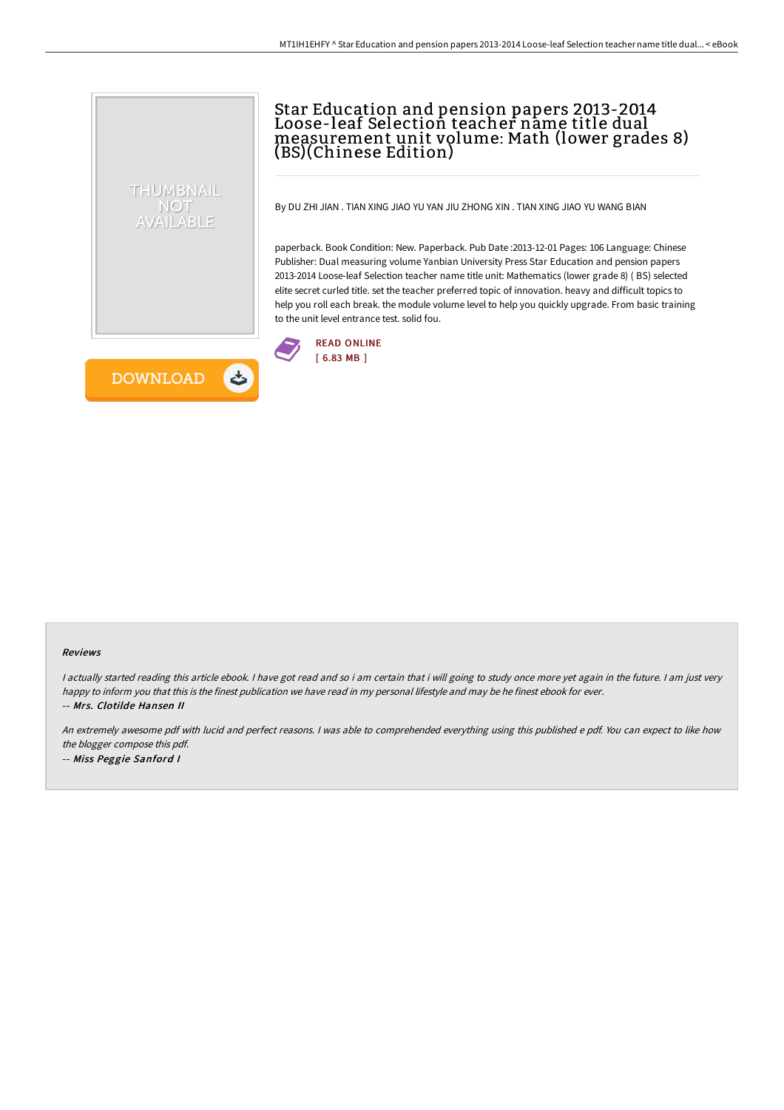# Star Education and pension papers 2013-2014 Loose-leaf Selection teacher name title dual measurement unit volume: Math (lower grades 8) (BS)(Chinese Edition)

By DU ZHI JIAN . TIAN XING JIAO YU YAN JIU ZHONG XIN . TIAN XING JIAO YU WANG BIAN

paperback. Book Condition: New. Paperback. Pub Date :2013-12-01 Pages: 106 Language: Chinese Publisher: Dual measuring volume Yanbian University Press Star Education and pension papers 2013-2014 Loose-leaf Selection teacher name title unit: Mathematics (lower grade 8) ( BS) selected elite secret curled title. set the teacher preferred topic of innovation. heavy and difficult topics to help you roll each break. the module volume level to help you quickly upgrade. From basic training to the unit level entrance test. solid fou.



**DOWNLOAD** しょ

THUMBNAIL NOT AVAILABLE

#### Reviews

<sup>I</sup> actually started reading this article ebook. <sup>I</sup> have got read and so i am certain that i will going to study once more yet again in the future. <sup>I</sup> am just very happy to inform you that this is the finest publication we have read in my personal lifestyle and may be he finest ebook for ever. -- Mrs. Clotilde Hansen II

An extremely awesome pdf with lucid and perfect reasons. <sup>I</sup> was able to comprehended everything using this published <sup>e</sup> pdf. You can expect to like how the blogger compose this pdf. -- Miss Peggie Sanford <sup>I</sup>